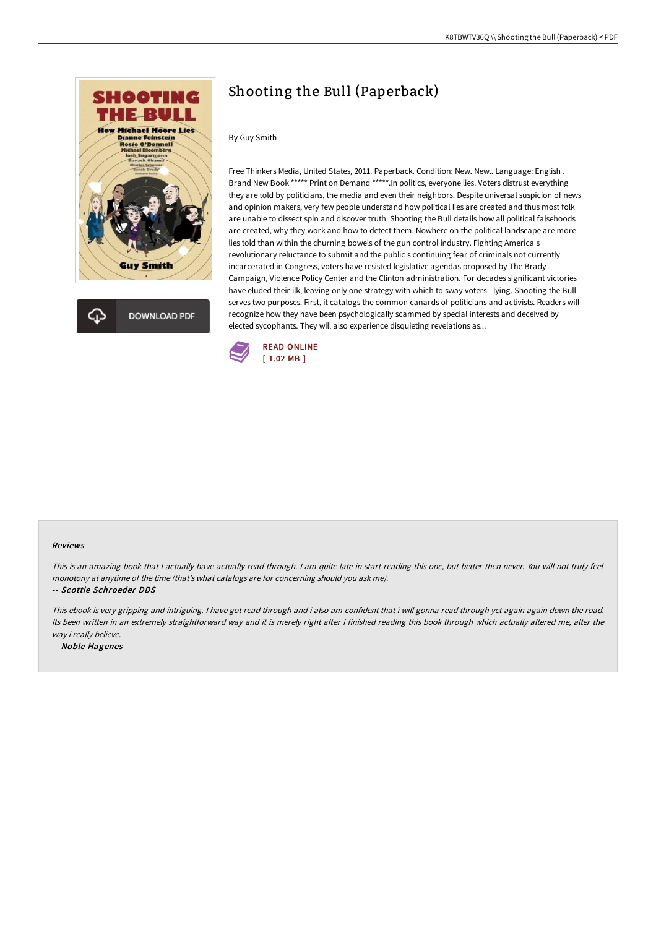



# Shooting the Bull (Paperback)

### By Guy Smith

Free Thinkers Media, United States, 2011. Paperback. Condition: New. New.. Language: English . Brand New Book \*\*\*\*\* Print on Demand \*\*\*\*\*.In politics, everyone lies. Voters distrust everything they are told by politicians, the media and even their neighbors. Despite universal suspicion of news and opinion makers, very few people understand how political lies are created and thus most folk are unable to dissect spin and discover truth. Shooting the Bull details how all political falsehoods are created, why they work and how to detect them. Nowhere on the political landscape are more lies told than within the churning bowels of the gun control industry. Fighting America s revolutionary reluctance to submit and the public s continuing fear of criminals not currently incarcerated in Congress, voters have resisted legislative agendas proposed by The Brady Campaign, Violence Policy Center and the Clinton administration. For decades significant victories have eluded their ilk, leaving only one strategy with which to sway voters - lying. Shooting the Bull serves two purposes. First, it catalogs the common canards of politicians and activists. Readers will recognize how they have been psychologically scammed by special interests and deceived by elected sycophants. They will also experience disquieting revelations as...



#### Reviews

This is an amazing book that <sup>I</sup> actually have actually read through. <sup>I</sup> am quite late in start reading this one, but better then never. You will not truly feel monotony at anytime of the time (that's what catalogs are for concerning should you ask me).

-- Scottie Schroeder DDS

This ebook is very gripping and intriguing. <sup>I</sup> have got read through and i also am confident that i will gonna read through yet again again down the road. Its been written in an extremely straightforward way and it is merely right after i finished reading this book through which actually altered me, alter the way i really believe.

-- Noble Hagenes